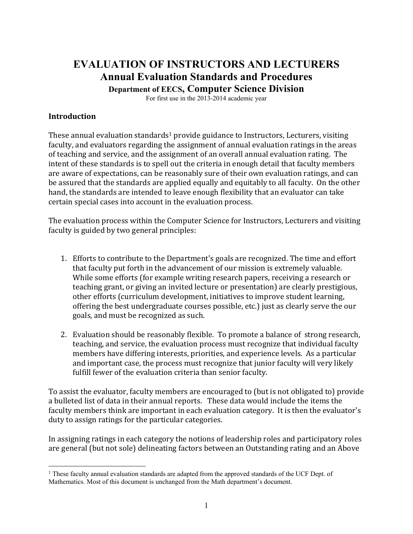# **EVALUATION OF INSTRUCTORS AND LECTURERS Annual Evaluation Standards and Procedures**

**Department of EECS, Computer Science Division** 

For first use in the 2013-2014 academic year

#### **Introduction**

 $\overline{a}$ 

These annual evaluation standards<sup>1</sup> provide guidance to Instructors, Lecturers, visiting faculty, and evaluators regarding the assignment of annual evaluation ratings in the areas of teaching and service, and the assignment of an overall annual evaluation rating. The intent of these standards is to spell out the criteria in enough detail that faculty members are aware of expectations, can be reasonably sure of their own evaluation ratings, and can be assured that the standards are applied equally and equitably to all faculty. On the other hand, the standards are intended to leave enough flexibility that an evaluator can take certain special cases into account in the evaluation process.

The evaluation process within the Computer Science for Instructors, Lecturers and visiting faculty is guided by two general principles:

- 1. Efforts to contribute to the Department's goals are recognized. The time and effort that faculty put forth in the advancement of our mission is extremely valuable. While some efforts (for example writing research papers, receiving a research or teaching grant, or giving an invited lecture or presentation) are clearly prestigious, other efforts (curriculum development, initiatives to improve student learning, offering the best undergraduate courses possible, etc.) just as clearly serve the our goals, and must be recognized as such.
- 2. Evaluation should be reasonably flexible. To promote a balance of strong research, teaching, and service, the evaluation process must recognize that individual faculty members have differing interests, priorities, and experience levels. As a particular and important case, the process must recognize that junior faculty will very likely fulfill fewer of the evaluation criteria than senior faculty.

To assist the evaluator, faculty members are encouraged to (but is not obligated to) provide a bulleted list of data in their annual reports. These data would include the items the faculty members think are important in each evaluation category. It is then the evaluator's duty to assign ratings for the particular categories.

In assigning ratings in each category the notions of leadership roles and participatory roles are general (but not sole) delineating factors between an Outstanding rating and an Above

<sup>&</sup>lt;sup>1</sup> These faculty annual evaluation standards are adapted from the approved standards of the UCF Dept. of Mathematics. Most of this document is unchanged from the Math department's document.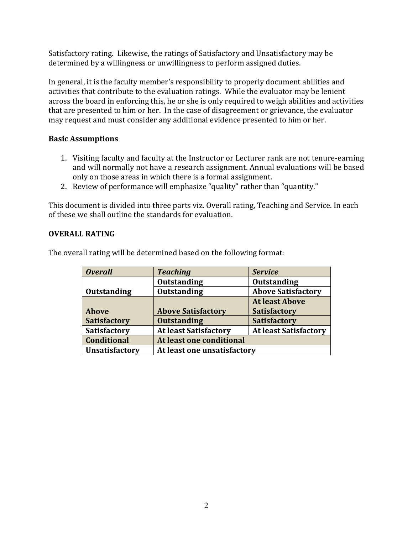Satisfactory rating. Likewise, the ratings of Satisfactory and Unsatisfactory may be determined by a willingness or unwillingness to perform assigned duties.

In general, it is the faculty member's responsibility to properly document abilities and activities that contribute to the evaluation ratings. While the evaluator may be lenient across the board in enforcing this, he or she is only required to weigh abilities and activities that are presented to him or her. In the case of disagreement or grievance, the evaluator may request and must consider any additional evidence presented to him or her.

## **Basic Assumptions**

- 1. Visiting faculty and faculty at the Instructor or Lecturer rank are not tenure-earning and will normally not have a research assignment. Annual evaluations will be based only on those areas in which there is a formal assignment.
- 2. Review of performance will emphasize "quality" rather than "quantity."

This document is divided into three parts viz. Overall rating, Teaching and Service. In each of these we shall outline the standards for evaluation.

## **OVERALL RATING**

| <b>Overall</b>        | <b>Teaching</b>              | <b>Service</b>               |
|-----------------------|------------------------------|------------------------------|
|                       | <b>Outstanding</b>           | <b>Outstanding</b>           |
| <b>Outstanding</b>    | <b>Outstanding</b>           | <b>Above Satisfactory</b>    |
|                       |                              | <b>At least Above</b>        |
| <b>Above</b>          | <b>Above Satisfactory</b>    | <b>Satisfactory</b>          |
| <b>Satisfactory</b>   | <b>Outstanding</b>           | <b>Satisfactory</b>          |
| <b>Satisfactory</b>   | <b>At least Satisfactory</b> | <b>At least Satisfactory</b> |
| <b>Conditional</b>    | At least one conditional     |                              |
| <b>Unsatisfactory</b> | At least one unsatisfactory  |                              |

The overall rating will be determined based on the following format: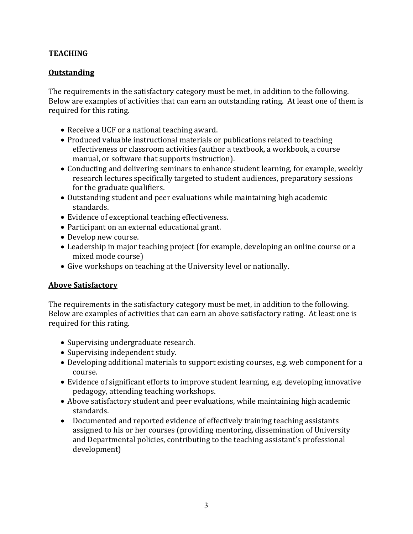## **TEACHING**

### **Outstanding**

The requirements in the satisfactory category must be met, in addition to the following. Below are examples of activities that can earn an outstanding rating. At least one of them is required for this rating.

- Receive a UCF or a national teaching award.
- Produced valuable instructional materials or publications related to teaching effectiveness or classroom activities (author a textbook, a workbook, a course manual, or software that supports instruction).
- Conducting and delivering seminars to enhance student learning, for example, weekly research lectures specifically targeted to student audiences, preparatory sessions for the graduate qualifiers.
- Outstanding student and peer evaluations while maintaining high academic standards.
- Evidence of exceptional teaching effectiveness.
- Participant on an external educational grant.
- Develop new course.
- Leadership in major teaching project (for example, developing an online course or a mixed mode course)
- Give workshops on teaching at the University level or nationally.

#### **Above Satisfactory**

The requirements in the satisfactory category must be met, in addition to the following. Below are examples of activities that can earn an above satisfactory rating. At least one is required for this rating.

- Supervising undergraduate research.
- Supervising independent study.
- Developing additional materials to support existing courses, e.g. web component for a course.
- Evidence of significant efforts to improve student learning, e.g. developing innovative pedagogy, attending teaching workshops.
- Above satisfactory student and peer evaluations, while maintaining high academic standards.
- Documented and reported evidence of effectively training teaching assistants assigned to his or her courses (providing mentoring, dissemination of University and Departmental policies, contributing to the teaching assistant's professional development)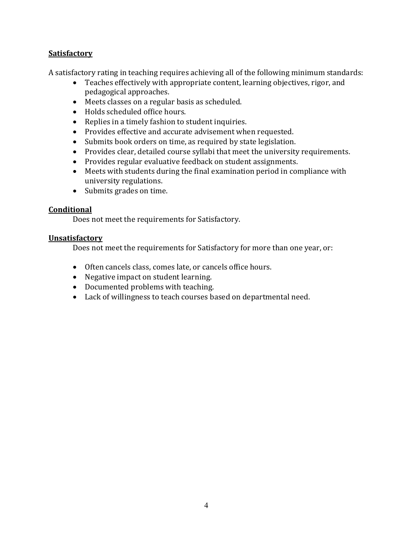## **Satisfactory**

A satisfactory rating in teaching requires achieving all of the following minimum standards:

- Teaches effectively with appropriate content, learning objectives, rigor, and pedagogical approaches.
- Meets classes on a regular basis as scheduled.
- Holds scheduled office hours.
- Replies in a timely fashion to student inquiries.
- Provides effective and accurate advisement when requested.
- Submits book orders on time, as required by state legislation.
- Provides clear, detailed course syllabi that meet the university requirements.
- Provides regular evaluative feedback on student assignments.
- Meets with students during the final examination period in compliance with university regulations.
- Submits grades on time.

#### **Conditional**

Does not meet the requirements for Satisfactory.

#### **Unsatisfactory**

Does not meet the requirements for Satisfactory for more than one year, or:

- Often cancels class, comes late, or cancels office hours.
- Negative impact on student learning.
- Documented problems with teaching.
- Lack of willingness to teach courses based on departmental need.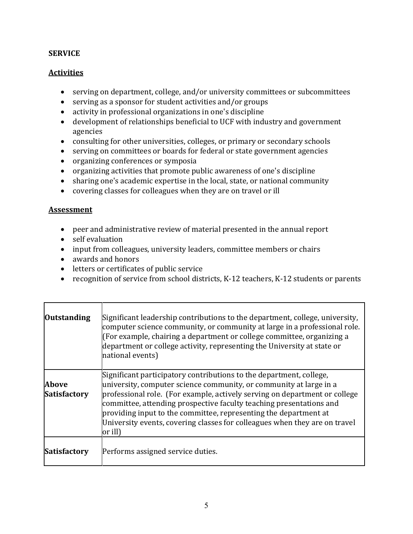## **SERVICE**

## **Activities**

- serving on department, college, and/or university committees or subcommittees
- serving as a sponsor for student activities and/or groups
- activity in professional organizations in one's discipline
- development of relationships beneficial to UCF with industry and government agencies
- consulting for other universities, colleges, or primary or secondary schools
- serving on committees or boards for federal or state government agencies
- organizing conferences or symposia
- organizing activities that promote public awareness of one's discipline
- sharing one's academic expertise in the local, state, or national community
- covering classes for colleagues when they are on travel or ill

#### Assessment

- peer and administrative review of material presented in the annual report
- self evaluation
- input from colleagues, university leaders, committee members or chairs
- awards and honors
- letters or certificates of public service
- recognition of service from school districts, K-12 teachers, K-12 students or parents

| <b>Outstanding</b>                  | Significant leadership contributions to the department, college, university,<br>computer science community, or community at large in a professional role.<br>(For example, chairing a department or college committee, organizing a<br>department or college activity, representing the University at state or<br>national events)                                                                                                                          |
|-------------------------------------|-------------------------------------------------------------------------------------------------------------------------------------------------------------------------------------------------------------------------------------------------------------------------------------------------------------------------------------------------------------------------------------------------------------------------------------------------------------|
| <b>Above</b><br><b>Satisfactory</b> | Significant participatory contributions to the department, college,<br>university, computer science community, or community at large in a<br>professional role. (For example, actively serving on department or college<br>committee, attending prospective faculty teaching presentations and<br>providing input to the committee, representing the department at<br>University events, covering classes for colleagues when they are on travel<br>or ill) |
| <b>Satisfactory</b>                 | Performs assigned service duties.                                                                                                                                                                                                                                                                                                                                                                                                                           |